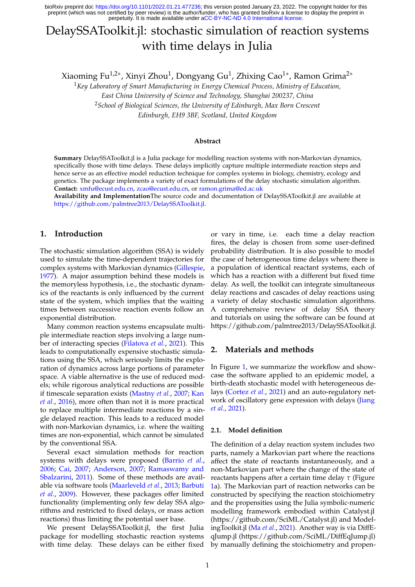perpetuity. It is made available under [aCC-BY-NC-ND 4.0 International license.](http://creativecommons.org/licenses/by-nc-nd/4.0/) preprint (which was not certified by peer review) is the author/funder, who has granted bioRxiv a license to display the preprint in bioRxiv preprint doi: [https://doi.org/10.1101/2022.01.21.477236;](https://doi.org/10.1101/2022.01.21.477236) this version posted January 23, 2022. The copyright holder for this

# DelaySSAToolkit.jl: stochastic simulation of reaction systems with time delays in Julia

Xiaoming Fu $^{1,2*}$ , Xinyi Zhou $^1$ , Dongyang Gu $^1$ , Zhixing Cao $^{1*}$ , Ramon Grima $^{2*}$ 

<sup>1</sup>*Key Laboratory of Smart Manufacturing in Energy Chemical Process, Ministry of Education, East China University of Science and Technology, Shanghai 200237, China* <sup>2</sup>*School of Biological Sciences, the University of Edinburgh, Max Born Crescent*

*Edinburgh, EH9 3BF, Scotland, United Kingdom*

#### **Abstract**

**Summary** DelaySSAToolkit.jl is a Julia package for modelling reaction systems with non-Markovian dynamics, specifically those with time delays. These delays implicitly capture multiple intermediate reaction steps and hence serve as an effective model reduction technique for complex systems in biology, chemistry, ecology and genetics. The package implements a variety of exact formulations of the delay stochastic simulation algorithm. **Contact:** [xmfu@ecust.edu.cn,](xmfu@ecust.edu.cn) [zcao@ecust.edu.cn,](zcao@ecust.edu.cn) or <ramon.grima@ed.ac.uk>

**Availability and Implementation**The source code and documentation of DelaySSAToolkit.jl are available at [https://github.com/palmtree2013/DelaySSAToolkit.jl.](https://github.com/palmtree2013/DelaySSAToolkit.jl)

## **1. Introduction**

The stochastic simulation algorithm (SSA) is widely used to simulate the time-dependent trajectories for complex systems with Markovian dynamics [\(Gillespie,](#page-2-0) [1977\)](#page-2-0). A major assumption behind these models is the memoryless hypothesis, i.e., the stochastic dynamics of the reactants is only influenced by the current state of the system, which implies that the waiting times between successive reaction events follow an exponential distribution.

Many common reaction systems encapsulate multiple intermediate reaction steps involving a large number of interacting species [\(Filatova](#page-2-1) *et al.*, [2021\)](#page-2-1). This leads to computationally expensive stochastic simulations using the SSA, which seriously limits the exploration of dynamics across large portions of parameter space. A viable alternative is the use of reduced models; while rigorous analytical reductions are possible if timescale separation exists [\(Mastny](#page-2-2) *et al.*, [2007;](#page-2-2) [Kan](#page-2-3) *[et al.](#page-2-3)*, [2016\)](#page-2-3), more often than not it is more practical to replace multiple intermediate reactions by a single delayed reaction. This leads to a reduced model with non-Markovian dynamics, i.e. where the waiting times are non-exponential, which cannot be simulated by the conventional SSA.

Several exact simulation methods for reaction systems with delays were proposed [\(Barrio](#page-2-4) *et al.*, [2006;](#page-2-4) [Cai,](#page-2-5) [2007;](#page-2-5) [Anderson,](#page-2-6) [2007;](#page-2-6) [Ramaswamy and](#page-2-7) [Sbalzarini,](#page-2-7) [2011\)](#page-2-7). Some of these methods are available via software tools [\(Maarleveld](#page-2-8) *et al.*, [2013;](#page-2-8) [Barbuti](#page-2-9) *[et al.](#page-2-9)*, [2009\)](#page-2-9). However, these packages offer limited functionality (implementing only few delay SSA algorithms and restricted to fixed delays, or mass action reactions) thus limiting the potential user base.

We present DelaySSAToolkit.jl, the first Julia package for modelling stochastic reaction systems with time delay. These delays can be either fixed or vary in time, i.e. each time a delay reaction fires, the delay is chosen from some user-defined probability distribution. It is also possible to model the case of heterogeneous time delays where there is a population of identical reactant systems, each of which has a reaction with a different but fixed time delay. As well, the toolkit can integrate simultaneous delay reactions and cascades of delay reactions using a variety of delay stochastic simulation algorithms. A comprehensive review of delay SSA theory and tutorials on using the software can be found at https://github.com/palmtree2013/DelaySSAToolkit.jl.

#### **2. Materials and methods**

In Figure [1,](#page-1-0) we summarize the workflow and showcase the software applied to an epidemic model, a birth-death stochastic model with heterogeneous delays [\(Cortez](#page-2-10) *et al.*, [2021\)](#page-2-10) and an auto-regulatory network of oscillatory gene expression with delays [\(Jiang](#page-2-11) *[et al.](#page-2-11)*, [2021\)](#page-2-11).

#### **2.1. Model definition**

The definition of a delay reaction system includes two parts, namely a Markovian part where the reactions affect the state of reactants instantaneously, and a non-Markovian part where the change of the state of reactants happens after a certain time delay *τ* (Figure [1a](#page-1-0)). The Markovian part of reaction networks can be constructed by specifying the reaction stoichiometry and the propensities using the Julia symbolic-numeric modelling framework embodied within Catalyst.jl (https://github.com/SciML/Catalyst.jl) and ModelingToolkit.jl (Ma *[et al.](#page-2-12)*, [2021\)](#page-2-12). Another way is via DiffEqJump.jl (https://github.com/SciML/DiffEqJump.jl) by manually defining the stoichiometry and propen-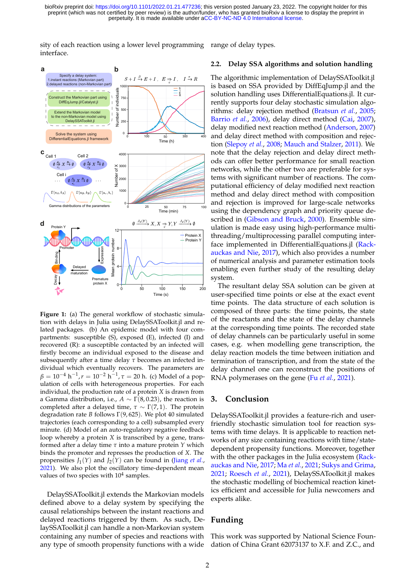perpetuity. It is made available under [aCC-BY-NC-ND 4.0 International license.](http://creativecommons.org/licenses/by-nc-nd/4.0/) preprint (which was not certified by peer review) is the author/funder, who has granted bioRxiv a license to display the preprint in bioRxiv preprint doi: [https://doi.org/10.1101/2022.01.21.477236;](https://doi.org/10.1101/2022.01.21.477236) this version posted January 23, 2022. The copyright holder for this

sity of each reaction using a lower level programming range of delay types. interface.

<span id="page-1-0"></span>

**Figure 1:** (a) The general workflow of stochastic simulation with delays in Julia using DelaySSAToolkit.jl and related packages. (b) An epidemic model with four compartments: susceptible (S), exposed (E), infected (I) and recovered (R): a susceptible contacted by an infected will firstly become an individual exposed to the disease and subsequently after a time delay *τ* becomes an infected individual which eventually recovers. The parameters are *β* = 10−<sup>4</sup> h −1 ,*r* = 10−<sup>2</sup> h −1 , *τ* = 20 h. (c) Model of a population of cells with heterogeneous properties. For each individual, the production rate of a protein *X* is drawn from a Gamma distribution, i.e.,  $A \sim \Gamma(8, 0.23)$ , the reaction is completed after a delayed time,  $\tau \sim \Gamma(7, 1)$ . The protein degradation rate *B* follows Γ(9, 625). We plot 40 simulated trajectories (each corresponding to a cell) subsampled every minute. (d) Model of an auto-regulatory negative feedback loop whereby a protein *X* is transcribed by a gene, transformed after a delay time *τ* into a mature protein *Y* which binds the promoter and represses the production of *X*. The propensities  $J_1(Y)$  and  $J_2(Y)$  can be found in [\(Jiang](#page-2-11) *et al.*, [2021\)](#page-2-11). We also plot the oscillatory time-dependent mean values of two species with  $10<sup>4</sup>$  samples.

DelaySSAToolkit.jl extends the Markovian models defined above to a delay system by specifying the causal relationships between the instant reactions and delayed reactions triggered by them. As such, DelaySSAToolkit.jl can handle a non-Markovian system containing any number of species and reactions with any type of smooth propensity functions with a wide

## **2.2. Delay SSA algorithms and solution handling**

The algorithmic implementation of DelaySSAToolkit.jl is based on SSA provided by DiffEqJump.jl and the solution handling uses DifferentialEquations.jl. It currently supports four delay stochastic simulation algorithms: delay rejection method [\(Bratsun](#page-2-13) *et al.*, [2005;](#page-2-13) [Barrio](#page-2-4) *et al.*, [2006\)](#page-2-4), delay direct method [\(Cai,](#page-2-5) [2007\)](#page-2-5), delay modified next reaction method [\(Anderson,](#page-2-6) [2007\)](#page-2-6) and delay direct method with composition and rejection [\(Slepoy](#page-2-14) *et al.*, [2008;](#page-2-14) [Mauch and Stalzer,](#page-2-15) [2011\)](#page-2-15). We note that the delay rejection and delay direct methods can offer better performance for small reaction networks, while the other two are preferable for systems with significant number of reactions. The computational efficiency of delay modified next reaction method and delay direct method with composition and rejection is improved for large-scale networks using the dependency graph and priority queue described in [\(Gibson and Bruck,](#page-2-16) [2000\)](#page-2-16). Ensemble simulation is made easy using high-performance multithreading/multiprocessing parallel computing interface implemented in DifferentialEquations.jl [\(Rack](#page-2-17)[auckas and Nie,](#page-2-17) [2017\)](#page-2-17), which also provides a number of numerical analysis and parameter estimation tools enabling even further study of the resulting delay system.

The resultant delay SSA solution can be given at user-specified time points or else at the exact event time points. The data structure of each solution is composed of three parts: the time points, the state of the reactants and the state of the delay channels at the corresponding time points. The recorded state of delay channels can be particularly useful in some cases, e.g. when modelling gene transcription, the delay reaction models the time between initiation and termination of transcription, and from the state of the delay channel one can reconstruct the positions of RNA polymerases on the gene (Fu *[et al.](#page-2-18)*, [2021\)](#page-2-18).

#### **3. Conclusion**

DelaySSAToolkit.jl provides a feature-rich and userfriendly stochastic simulation tool for reaction systems with time delays. It is applicable to reaction networks of any size containing reactions with time/statedependent propensity functions. Moreover, together with the other packages in the Julia ecosystem [\(Rack](#page-2-17)[auckas and Nie,](#page-2-17) [2017;](#page-2-17) Ma *[et al.](#page-2-12)*, [2021;](#page-2-12) [Sukys and Grima,](#page-2-19) [2021;](#page-2-19) [Roesch](#page-2-20) *et al.*, [2021\)](#page-2-20), DelaySSAToolkit.jl makes the stochastic modelling of biochemical reaction kinetics efficient and accessible for Julia newcomers and experts alike.

## **Funding**

This work was supported by National Science Foundation of China Grant 62073137 to X.F. and Z.C., and